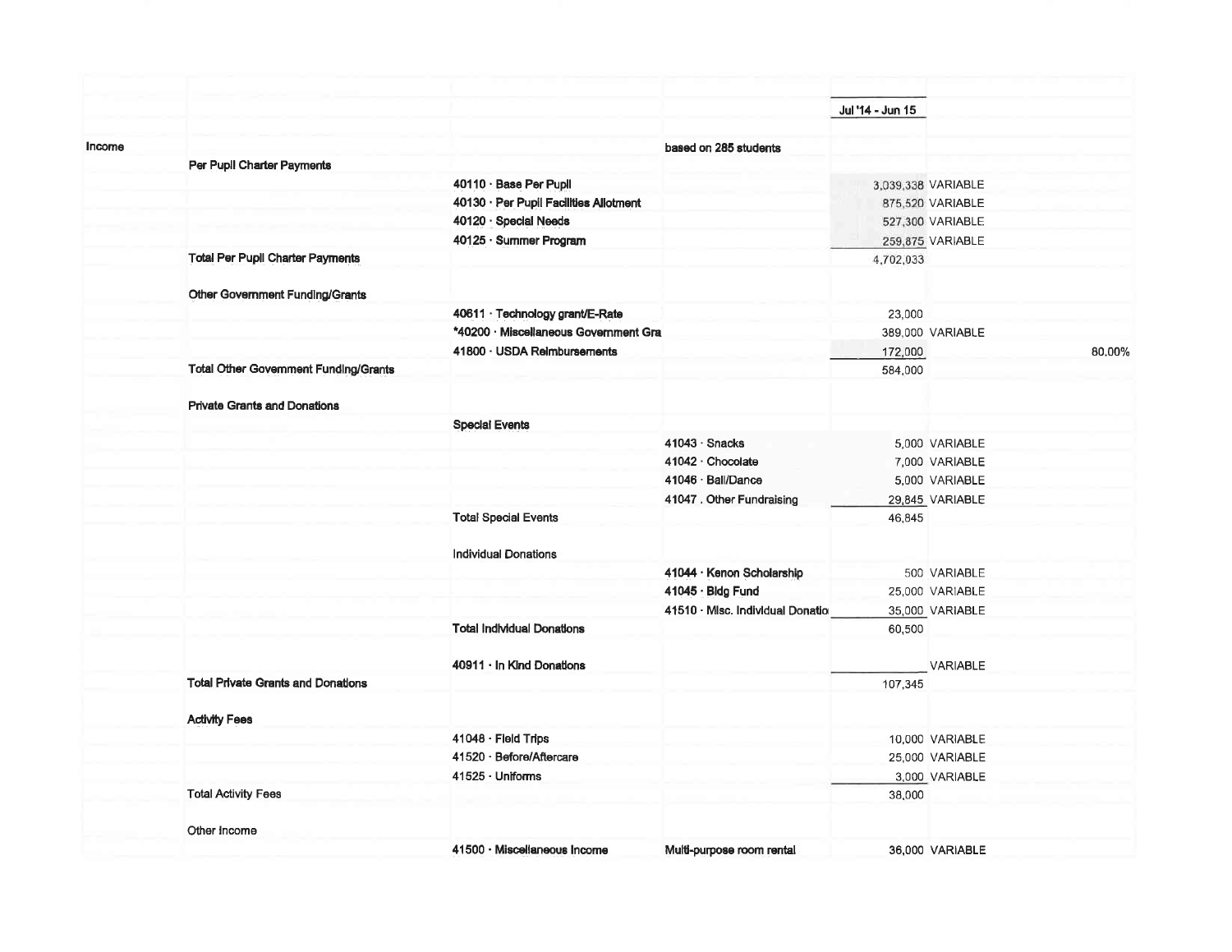|        |                                              |                                        |                                   | Jul '14 - Jun 15 |                    |        |
|--------|----------------------------------------------|----------------------------------------|-----------------------------------|------------------|--------------------|--------|
|        |                                              |                                        |                                   |                  |                    |        |
| Income | Per Pupil Charter Payments                   |                                        | based on 285 students             |                  |                    |        |
|        |                                              | 40110 · Base Per Pupil                 |                                   |                  | 3,039,338 VARIABLE |        |
|        |                                              | 40130 · Per Pupil Facilities Allotment |                                   |                  | 875,520 VARIABLE   |        |
|        |                                              | 40120 · Special Needs                  |                                   |                  | 527,300 VARIABLE   |        |
|        |                                              | 40125 · Summer Program                 |                                   |                  | 259,875 VARIABLE   |        |
|        | <b>Total Per Pupil Charter Payments</b>      |                                        |                                   | 4,702,033        |                    |        |
|        |                                              |                                        |                                   |                  |                    |        |
|        | Other Government Funding/Grants              |                                        |                                   |                  |                    |        |
|        |                                              | 40611 · Technology grant/E-Rate        |                                   | 23,000           |                    |        |
|        |                                              | *40200 · Miscellaneous Government Gra  |                                   |                  | 389,000 VARIABLE   |        |
|        |                                              | 41800 · USDA Reimbursements            |                                   | 172,000          |                    | 80.00% |
|        | <b>Total Other Government Funding/Grants</b> |                                        |                                   | 584,000          |                    |        |
|        |                                              |                                        |                                   |                  |                    |        |
|        | <b>Private Grants and Donations</b>          |                                        |                                   |                  |                    |        |
|        |                                              | <b>Special Events</b>                  |                                   |                  |                    |        |
|        |                                              |                                        | $41043 \cdot$ Snacks              |                  | 5,000 VARIABLE     |        |
|        |                                              |                                        | 41042 Chocolate                   |                  | 7,000 VARIABLE     |        |
|        |                                              |                                        | 41046 · Ball/Dance                |                  | 5,000 VARIABLE     |        |
|        |                                              |                                        | 41047 . Other Fundraising         |                  | 29,845 VARIABLE    |        |
|        |                                              | <b>Total Special Events</b>            |                                   | 46,845           |                    |        |
|        |                                              |                                        |                                   |                  |                    |        |
|        |                                              | <b>Individual Donations</b>            |                                   |                  |                    |        |
|        |                                              |                                        | 41044 · Kenon Scholarship         |                  | 500 VARIABLE       |        |
|        |                                              |                                        | 41045 · Bldg Fund                 |                  | 25,000 VARIABLE    |        |
|        |                                              |                                        | 41510 · Misc. Individual Donation |                  | 35,000 VARIABLE    |        |
|        |                                              | <b>Total Individual Donations</b>      |                                   | 60,500           |                    |        |
|        |                                              |                                        |                                   |                  |                    |        |
|        |                                              | 40911 · In Kind Donations              |                                   |                  | <b>VARIABLE</b>    |        |
|        | <b>Total Private Grants and Donations</b>    |                                        |                                   | 107,345          |                    |        |
|        | <b>Activity Fees</b>                         |                                        |                                   |                  |                    |        |
|        |                                              | 41048 · Field Trips                    |                                   |                  | 10,000 VARIABLE    |        |
|        |                                              | 41520 · Before/Aftercare               |                                   |                  | 25,000 VARIABLE    |        |
|        |                                              | 41525 · Uniforms                       |                                   |                  | 3,000 VARIABLE     |        |
|        | <b>Total Activity Fees</b>                   |                                        |                                   | 38,000           |                    |        |
|        | Other Income                                 |                                        |                                   |                  |                    |        |
|        |                                              | 41500 · Miscellaneous Income           | Multi-purpose room rental         |                  | 36,000 VARIABLE    |        |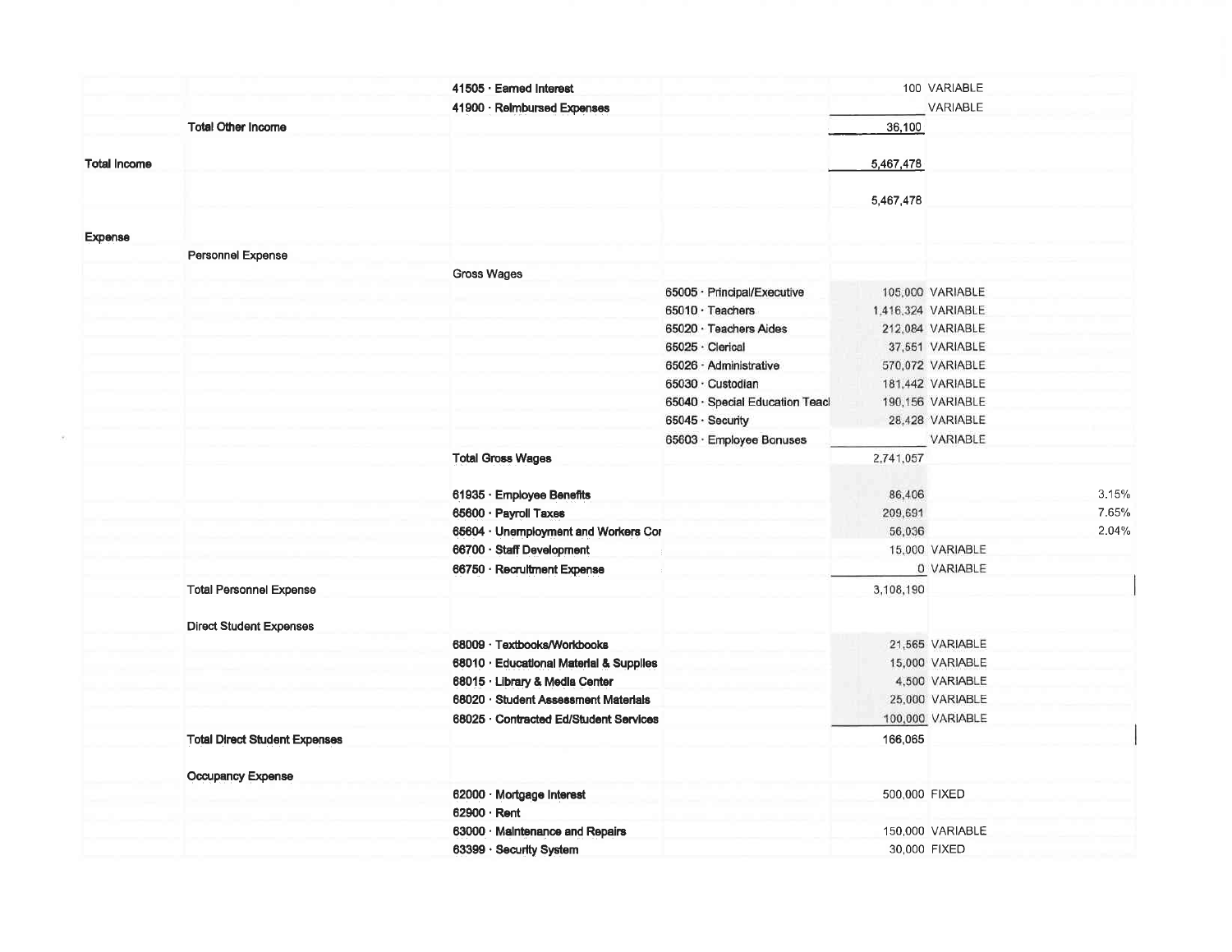|                     |                                      | 41505 · Earned Interest                 |                                 |               | 100 VARIABLE       |       |
|---------------------|--------------------------------------|-----------------------------------------|---------------------------------|---------------|--------------------|-------|
|                     |                                      | 41900 · Relmbursed Expenses             |                                 |               | VARIABLE           |       |
|                     | <b>Total Other Income</b>            |                                         |                                 | 36,100        |                    |       |
| <b>Total Income</b> |                                      |                                         |                                 | 5,467,478     |                    |       |
|                     |                                      |                                         |                                 |               |                    |       |
|                     |                                      |                                         |                                 | 5,467,478     |                    |       |
| <b>Expense</b>      |                                      |                                         |                                 |               |                    |       |
|                     | Personnel Expense                    |                                         |                                 |               |                    |       |
|                     |                                      | Gross Wages                             |                                 |               |                    |       |
|                     |                                      |                                         | 65005 · Principal/Executive     |               | 105,000 VARIABLE   |       |
|                     |                                      |                                         | $65010 \cdot$ Teachers          |               | 1.416,324 VARIABLE |       |
|                     |                                      |                                         | 65020 · Teachers Aides          |               | 212,084 VARIABLE   |       |
|                     |                                      |                                         | 65025 · Clerical                |               | 37,551 VARIABLE    |       |
|                     |                                      |                                         | 65026 - Administrative          |               | 570,072 VARIABLE   |       |
|                     |                                      |                                         | 65030 · Custodian               |               | 181,442 VARIABLE   |       |
|                     |                                      |                                         | 65040 · Special Education Teacl |               | 190,156 VARIABLE   |       |
|                     |                                      |                                         | 65045 · Security                |               | 28,428 VARIABLE    |       |
|                     |                                      |                                         | 65603 · Employee Bonuses        |               | VARIABLE           |       |
|                     |                                      | <b>Total Gross Wages</b>                |                                 | 2,741,057     |                    |       |
|                     |                                      | 61935 · Employee Benefits               |                                 | 86,406        |                    | 3.15% |
|                     |                                      | 65600 · Payroll Taxes                   |                                 | 209,691       |                    | 7.65% |
|                     |                                      | 65604 · Unemployment and Workers Cor    |                                 | 56,036        |                    | 2.04% |
|                     |                                      | 66700 · Staff Development               |                                 |               | 15,000 VARIABLE    |       |
|                     |                                      | 66750 · Recruitment Expense             |                                 |               | 0 VARIABLE         |       |
|                     | <b>Total Personnel Expense</b>       |                                         |                                 | 3,108,190     |                    |       |
|                     | <b>Direct Student Expenses</b>       |                                         |                                 |               |                    |       |
|                     |                                      | 68009 · Textbooks/Workbooks             |                                 |               | 21,565 VARIABLE    |       |
|                     |                                      | 68010 · Educational Material & Supplies |                                 |               | 15,000 VARIABLE    |       |
|                     |                                      | 68015 · Library & Media Center          |                                 |               | 4,500 VARIABLE     |       |
|                     |                                      | 68020 · Student Assessment Materials    |                                 |               | 25,000 VARIABLE    |       |
|                     |                                      | 68025 · Contracted Ed/Student Services  |                                 |               | 100,000 VARIABLE   |       |
|                     | <b>Total Direct Student Expenses</b> |                                         |                                 | 166,065       |                    |       |
|                     | Occupancy Expense                    |                                         |                                 |               |                    |       |
|                     |                                      | 62000 · Mortgage Interest               |                                 | 500,000 FIXED |                    |       |
|                     |                                      | 62900 · Rent                            |                                 |               |                    |       |
|                     |                                      | 63000 · Maintenance and Repairs         |                                 |               | 150,000 VARIABLE   |       |
|                     |                                      | 63399 · Security System                 |                                 |               | 30,000 FIXED       |       |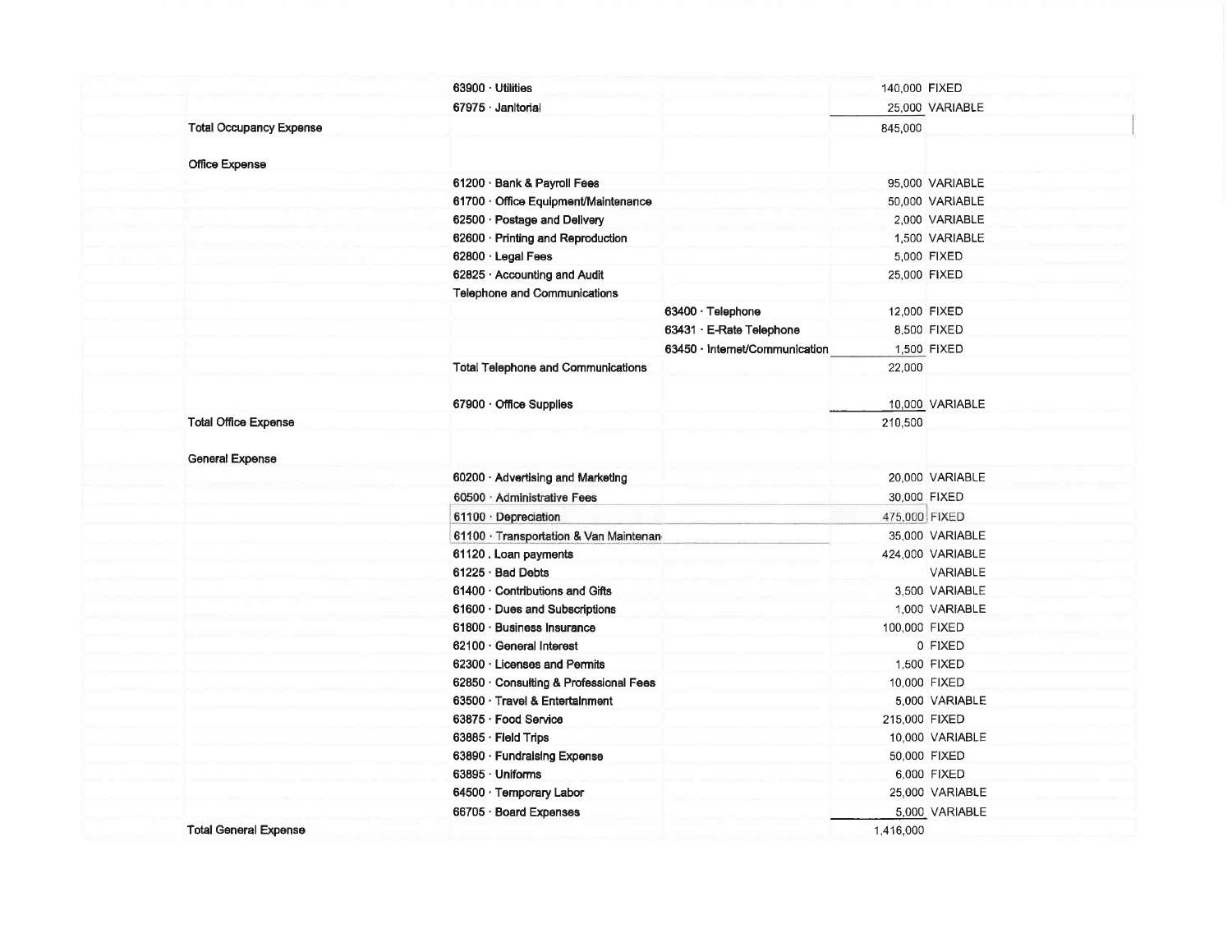|                                | $63900 \cdot$ Utilities                   |                                | 140,000 FIXED |                  |
|--------------------------------|-------------------------------------------|--------------------------------|---------------|------------------|
|                                | 67975 · Janitorial                        |                                |               | 25,000 VARIABLE  |
| <b>Total Occupancy Expense</b> |                                           |                                | 845,000       |                  |
|                                |                                           |                                |               |                  |
| Office Expense                 |                                           |                                |               |                  |
|                                | 61200 · Bank & Payroll Fees               |                                |               | 95,000 VARIABLE  |
|                                | 61700 · Office Equipment/Maintenance      |                                |               | 50,000 VARIABLE  |
|                                | 62500 · Postage and Delivery              |                                |               | 2,000 VARIABLE   |
|                                | 62600 · Printing and Reproduction         |                                |               | 1,500 VARIABLE   |
|                                | 62800 · Legal Fees                        |                                |               | 5,000 FIXED      |
|                                | 62825 · Accounting and Audit              |                                |               | 25,000 FIXED     |
|                                | Telephone and Communications              |                                |               |                  |
|                                |                                           | 63400 · Telephone              | 12,000 FIXED  |                  |
|                                |                                           | 63431 · E-Rate Telephone       |               | 8,500 FIXED      |
|                                |                                           | 63450 · Internet/Communication |               | 1,500 FIXED      |
|                                | <b>Total Telephone and Communications</b> |                                | 22,000        |                  |
|                                |                                           |                                |               |                  |
|                                | 67900 · Office Supplies                   |                                |               | 10,000 VARIABLE  |
| <b>Total Office Expense</b>    |                                           |                                | 210,500       |                  |
|                                |                                           |                                |               |                  |
| <b>General Expense</b>         |                                           |                                |               |                  |
|                                | 60200 · Advertising and Marketing         |                                |               | 20,000 VARIABLE  |
|                                | 60500 · Administrative Fees               |                                |               | 30,000 FIXED     |
|                                | 61100 · Depreciation                      |                                | 475,000 FIXED |                  |
|                                | 61100 · Transportation & Van Maintenan    |                                |               | 35,000 VARIABLE  |
|                                | 61120. Loan payments                      |                                |               | 424,000 VARIABLE |
|                                | 61225 · Bad Debts                         |                                |               | VARIABLE         |
|                                | 61400 Contributions and Gifts             |                                |               | 3.500 VARIABLE   |
|                                | 61600 Dues and Subscriptions              |                                |               | 1,000 VARIABLE   |
|                                | 61800 · Business Insurance                |                                | 100,000 FIXED |                  |
|                                | 62100 General Interest                    |                                |               | 0 FIXED          |
|                                | 62300 Licenses and Permits                |                                |               | 1,500 FIXED      |
|                                | 62850 · Consulting & Professional Fees    |                                |               | 10,000 FIXED     |
|                                | 63500 · Travel & Entertainment            |                                |               | 5,000 VARIABLE   |
|                                | 63875 · Food Service                      |                                | 215,000 FIXED |                  |
|                                | 63885 · Field Trips                       |                                |               | 10,000 VARIABLE  |
|                                | 63890 · Fundraising Expense               |                                |               | 50,000 FIXED     |
|                                | 63895 · Uniforms                          |                                |               | 6,000 FIXED      |
|                                | 64500 · Temporary Labor                   |                                |               | 25,000 VARIABLE  |
|                                | 66705 · Board Expenses                    |                                |               | 5,000 VARIABLE   |
| <b>Total General Expense</b>   |                                           |                                | 1,416,000     |                  |